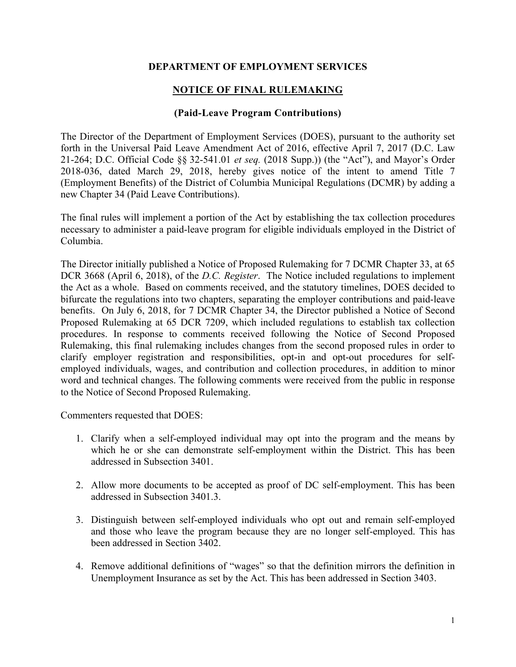### **DEPARTMENT OF EMPLOYMENT SERVICES**

# **NOTICE OF FINAL RULEMAKING**

### **(Paid-Leave Program Contributions)**

The Director of the Department of Employment Services (DOES), pursuant to the authority set forth in the Universal Paid Leave Amendment Act of 2016, effective April 7, 2017 (D.C. Law 21-264; D.C. Official Code §§ 32-541.01 *et seq.* (2018 Supp.)) (the "Act"), and Mayor's Order 2018-036, dated March 29, 2018, hereby gives notice of the intent to amend Title 7 (Employment Benefits) of the District of Columbia Municipal Regulations (DCMR) by adding a new Chapter 34 (Paid Leave Contributions).

The final rules will implement a portion of the Act by establishing the tax collection procedures necessary to administer a paid-leave program for eligible individuals employed in the District of Columbia.

The Director initially published a Notice of Proposed Rulemaking for 7 DCMR Chapter 33, at 65 DCR 3668 (April 6, 2018), of the *D.C. Register*. The Notice included regulations to implement the Act as a whole. Based on comments received, and the statutory timelines, DOES decided to bifurcate the regulations into two chapters, separating the employer contributions and paid-leave benefits. On July 6, 2018, for 7 DCMR Chapter 34, the Director published a Notice of Second Proposed Rulemaking at 65 DCR 7209, which included regulations to establish tax collection procedures. In response to comments received following the Notice of Second Proposed Rulemaking, this final rulemaking includes changes from the second proposed rules in order to clarify employer registration and responsibilities, opt-in and opt-out procedures for selfemployed individuals, wages, and contribution and collection procedures, in addition to minor word and technical changes. The following comments were received from the public in response to the Notice of Second Proposed Rulemaking.

Commenters requested that DOES:

- 1. Clarify when a self-employed individual may opt into the program and the means by which he or she can demonstrate self-employment within the District. This has been addressed in Subsection 3401.
- 2. Allow more documents to be accepted as proof of DC self-employment. This has been addressed in Subsection 3401.3.
- 3. Distinguish between self-employed individuals who opt out and remain self-employed and those who leave the program because they are no longer self-employed. This has been addressed in Section 3402.
- 4. Remove additional definitions of "wages" so that the definition mirrors the definition in Unemployment Insurance as set by the Act. This has been addressed in Section 3403.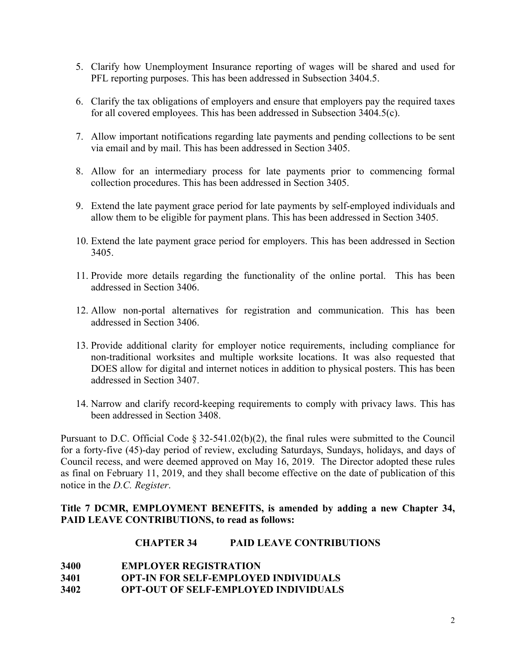- 5. Clarify how Unemployment Insurance reporting of wages will be shared and used for PFL reporting purposes. This has been addressed in Subsection 3404.5.
- 6. Clarify the tax obligations of employers and ensure that employers pay the required taxes for all covered employees. This has been addressed in Subsection 3404.5(c).
- 7. Allow important notifications regarding late payments and pending collections to be sent via email and by mail. This has been addressed in Section 3405.
- 8. Allow for an intermediary process for late payments prior to commencing formal collection procedures. This has been addressed in Section 3405.
- 9. Extend the late payment grace period for late payments by self-employed individuals and allow them to be eligible for payment plans. This has been addressed in Section 3405.
- 10. Extend the late payment grace period for employers. This has been addressed in Section 3405.
- 11. Provide more details regarding the functionality of the online portal. This has been addressed in Section 3406.
- 12. Allow non-portal alternatives for registration and communication. This has been addressed in Section 3406.
- 13. Provide additional clarity for employer notice requirements, including compliance for non-traditional worksites and multiple worksite locations. It was also requested that DOES allow for digital and internet notices in addition to physical posters. This has been addressed in Section 3407.
- 14. Narrow and clarify record-keeping requirements to comply with privacy laws. This has been addressed in Section 3408.

Pursuant to D.C. Official Code § 32-541.02(b)(2), the final rules were submitted to the Council for a forty-five (45)-day period of review, excluding Saturdays, Sundays, holidays, and days of Council recess, and were deemed approved on May 16, 2019. The Director adopted these rules as final on February 11, 2019, and they shall become effective on the date of publication of this notice in the *D.C. Register*.

## **Title 7 DCMR, EMPLOYMENT BENEFITS, is amended by adding a new Chapter 34, PAID LEAVE CONTRIBUTIONS, to read as follows:**

### **CHAPTER 34 PAID LEAVE CONTRIBUTIONS**

- **3400 EMPLOYER REGISTRATION**
- **3401 OPT-IN FOR SELF-EMPLOYED INDIVIDUALS**
- **3402 OPT-OUT OF SELF-EMPLOYED INDIVIDUALS**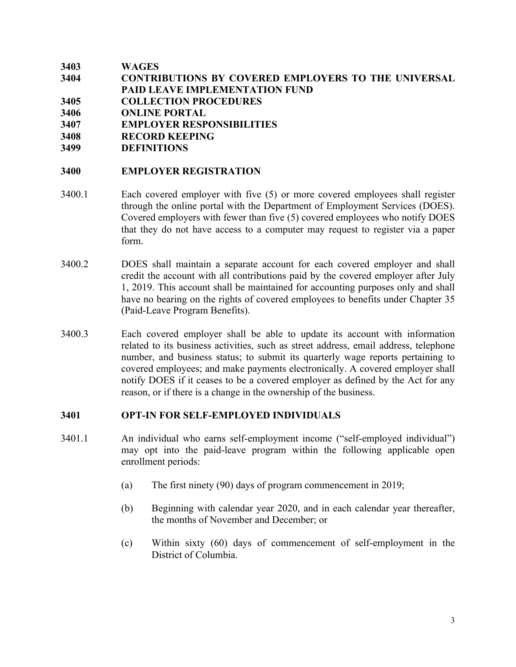| 3403 | <b>WAGES</b>                                               |
|------|------------------------------------------------------------|
| 3404 | <b>CONTRIBUTIONS BY COVERED EMPLOYERS TO THE UNIVERSAL</b> |
|      | <b>PAID LEAVE IMPLEMENTATION FUND</b>                      |
| 3405 | <b>COLLECTION PROCEDURES</b>                               |
| 3406 | <b>ONLINE PORTAL</b>                                       |
| 3407 | <b>EMPLOYER RESPONSIBILITIES</b>                           |
| 3408 | <b>RECORD KEEPING</b>                                      |

**3499 DEFINITIONS**

#### **3400 EMPLOYER REGISTRATION**

- 3400.1 Each covered employer with five (5) or more covered employees shall register through the online portal with the Department of Employment Services (DOES). Covered employers with fewer than five (5) covered employees who notify DOES that they do not have access to a computer may request to register via a paper form.
- 3400.2 DOES shall maintain a separate account for each covered employer and shall credit the account with all contributions paid by the covered employer after July 1, 2019. This account shall be maintained for accounting purposes only and shall have no bearing on the rights of covered employees to benefits under Chapter 35 (Paid-Leave Program Benefits).
- 3400.3 Each covered employer shall be able to update its account with information related to its business activities, such as street address, email address, telephone number, and business status; to submit its quarterly wage reports pertaining to covered employees; and make payments electronically. A covered employer shall notify DOES if it ceases to be a covered employer as defined by the Act for any reason, or if there is a change in the ownership of the business.

#### **3401 OPT-IN FOR SELF-EMPLOYED INDIVIDUALS**

- 3401.1 An individual who earns self-employment income ("self-employed individual") may opt into the paid-leave program within the following applicable open enrollment periods:
	- (a) The first ninety (90) days of program commencement in 2019;
	- (b) Beginning with calendar year 2020, and in each calendar year thereafter, the months of November and December; or
	- (c) Within sixty (60) days of commencement of self-employment in the District of Columbia.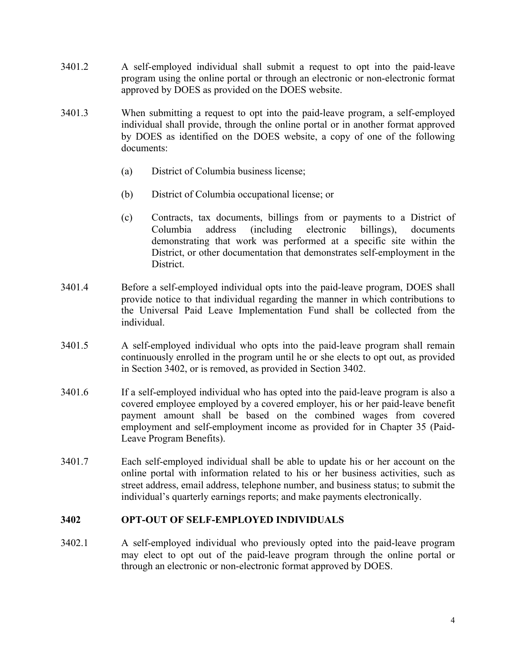- 3401.2 A self-employed individual shall submit a request to opt into the paid-leave program using the online portal or through an electronic or non-electronic format approved by DOES as provided on the DOES website.
- 3401.3 When submitting a request to opt into the paid-leave program, a self-employed individual shall provide, through the online portal or in another format approved by DOES as identified on the DOES website, a copy of one of the following documents:
	- (a) District of Columbia business license;
	- (b) District of Columbia occupational license; or
	- (c) Contracts, tax documents, billings from or payments to a District of Columbia address (including electronic billings), documents demonstrating that work was performed at a specific site within the District, or other documentation that demonstrates self-employment in the District.
- 3401.4 Before a self-employed individual opts into the paid-leave program, DOES shall provide notice to that individual regarding the manner in which contributions to the Universal Paid Leave Implementation Fund shall be collected from the individual.
- 3401.5 A self-employed individual who opts into the paid-leave program shall remain continuously enrolled in the program until he or she elects to opt out, as provided in Section 3402, or is removed, as provided in Section 3402.
- 3401.6 If a self-employed individual who has opted into the paid-leave program is also a covered employee employed by a covered employer, his or her paid-leave benefit payment amount shall be based on the combined wages from covered employment and self-employment income as provided for in Chapter 35 (Paid-Leave Program Benefits).
- 3401.7 Each self-employed individual shall be able to update his or her account on the online portal with information related to his or her business activities, such as street address, email address, telephone number, and business status; to submit the individual's quarterly earnings reports; and make payments electronically.

### **3402 OPT-OUT OF SELF-EMPLOYED INDIVIDUALS**

3402.1 A self-employed individual who previously opted into the paid-leave program may elect to opt out of the paid-leave program through the online portal or through an electronic or non-electronic format approved by DOES.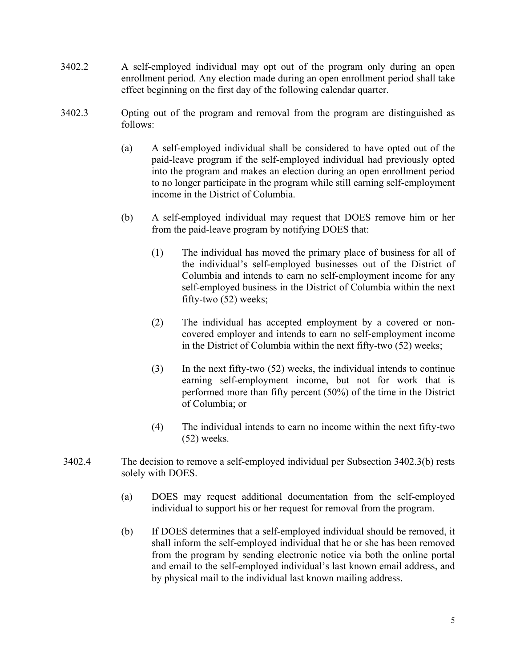- 3402.2 A self-employed individual may opt out of the program only during an open enrollment period. Any election made during an open enrollment period shall take effect beginning on the first day of the following calendar quarter.
- 3402.3 Opting out of the program and removal from the program are distinguished as follows:
	- (a) A self-employed individual shall be considered to have opted out of the paid-leave program if the self-employed individual had previously opted into the program and makes an election during an open enrollment period to no longer participate in the program while still earning self-employment income in the District of Columbia.
	- (b) A self-employed individual may request that DOES remove him or her from the paid-leave program by notifying DOES that:
		- (1) The individual has moved the primary place of business for all of the individual's self-employed businesses out of the District of Columbia and intends to earn no self-employment income for any self-employed business in the District of Columbia within the next fifty-two (52) weeks;
		- (2) The individual has accepted employment by a covered or noncovered employer and intends to earn no self-employment income in the District of Columbia within the next fifty-two (52) weeks;
		- (3) In the next fifty-two (52) weeks, the individual intends to continue earning self-employment income, but not for work that is performed more than fifty percent (50%) of the time in the District of Columbia; or
		- (4) The individual intends to earn no income within the next fifty-two (52) weeks.
- 3402.4 The decision to remove a self-employed individual per Subsection 3402.3(b) rests solely with DOES.
	- (a) DOES may request additional documentation from the self-employed individual to support his or her request for removal from the program.
	- (b) If DOES determines that a self-employed individual should be removed, it shall inform the self-employed individual that he or she has been removed from the program by sending electronic notice via both the online portal and email to the self-employed individual's last known email address, and by physical mail to the individual last known mailing address.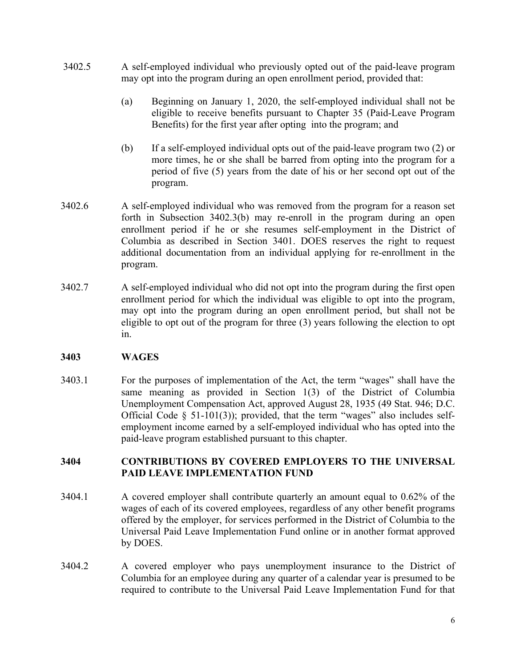- 3402.5 A self-employed individual who previously opted out of the paid-leave program may opt into the program during an open enrollment period, provided that:
	- (a) Beginning on January 1, 2020, the self-employed individual shall not be eligible to receive benefits pursuant to Chapter 35 (Paid-Leave Program Benefits) for the first year after opting into the program; and
	- (b) If a self-employed individual opts out of the paid-leave program two (2) or more times, he or she shall be barred from opting into the program for a period of five (5) years from the date of his or her second opt out of the program.
- 3402.6 A self-employed individual who was removed from the program for a reason set forth in Subsection 3402.3(b) may re-enroll in the program during an open enrollment period if he or she resumes self-employment in the District of Columbia as described in Section 3401. DOES reserves the right to request additional documentation from an individual applying for re-enrollment in the program.
- 3402.7 A self-employed individual who did not opt into the program during the first open enrollment period for which the individual was eligible to opt into the program, may opt into the program during an open enrollment period, but shall not be eligible to opt out of the program for three (3) years following the election to opt in.

## **3403 WAGES**

3403.1 For the purposes of implementation of the Act, the term "wages" shall have the same meaning as provided in Section 1(3) of the District of Columbia Unemployment Compensation Act, approved August 28, 1935 (49 Stat. 946; D.C. Official Code  $\S$  51-101(3)); provided, that the term "wages" also includes selfemployment income earned by a self-employed individual who has opted into the paid-leave program established pursuant to this chapter.

## **3404 CONTRIBUTIONS BY COVERED EMPLOYERS TO THE UNIVERSAL PAID LEAVE IMPLEMENTATION FUND**

- 3404.1 A covered employer shall contribute quarterly an amount equal to 0.62% of the wages of each of its covered employees, regardless of any other benefit programs offered by the employer, for services performed in the District of Columbia to the Universal Paid Leave Implementation Fund online or in another format approved by DOES.
- 3404.2 A covered employer who pays unemployment insurance to the District of Columbia for an employee during any quarter of a calendar year is presumed to be required to contribute to the Universal Paid Leave Implementation Fund for that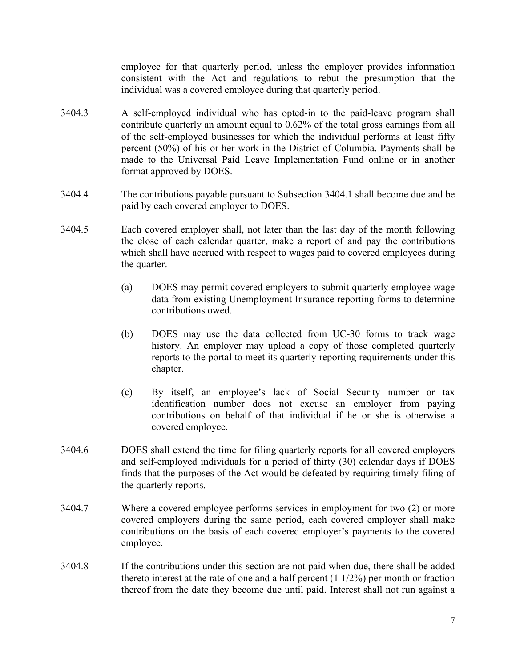employee for that quarterly period, unless the employer provides information consistent with the Act and regulations to rebut the presumption that the individual was a covered employee during that quarterly period.

- 3404.3 A self-employed individual who has opted-in to the paid-leave program shall contribute quarterly an amount equal to 0.62% of the total gross earnings from all of the self-employed businesses for which the individual performs at least fifty percent (50%) of his or her work in the District of Columbia. Payments shall be made to the Universal Paid Leave Implementation Fund online or in another format approved by DOES.
- 3404.4 The contributions payable pursuant to Subsection 3404.1 shall become due and be paid by each covered employer to DOES.
- 3404.5 Each covered employer shall, not later than the last day of the month following the close of each calendar quarter, make a report of and pay the contributions which shall have accrued with respect to wages paid to covered employees during the quarter.
	- (a) DOES may permit covered employers to submit quarterly employee wage data from existing Unemployment Insurance reporting forms to determine contributions owed.
	- (b) DOES may use the data collected from UC-30 forms to track wage history. An employer may upload a copy of those completed quarterly reports to the portal to meet its quarterly reporting requirements under this chapter.
	- (c) By itself, an employee's lack of Social Security number or tax identification number does not excuse an employer from paying contributions on behalf of that individual if he or she is otherwise a covered employee.
- 3404.6 DOES shall extend the time for filing quarterly reports for all covered employers and self-employed individuals for a period of thirty (30) calendar days if DOES finds that the purposes of the Act would be defeated by requiring timely filing of the quarterly reports.
- 3404.7 Where a covered employee performs services in employment for two (2) or more covered employers during the same period, each covered employer shall make contributions on the basis of each covered employer's payments to the covered employee.
- 3404.8 If the contributions under this section are not paid when due, there shall be added thereto interest at the rate of one and a half percent  $(1\ 1/2%)$  per month or fraction thereof from the date they become due until paid. Interest shall not run against a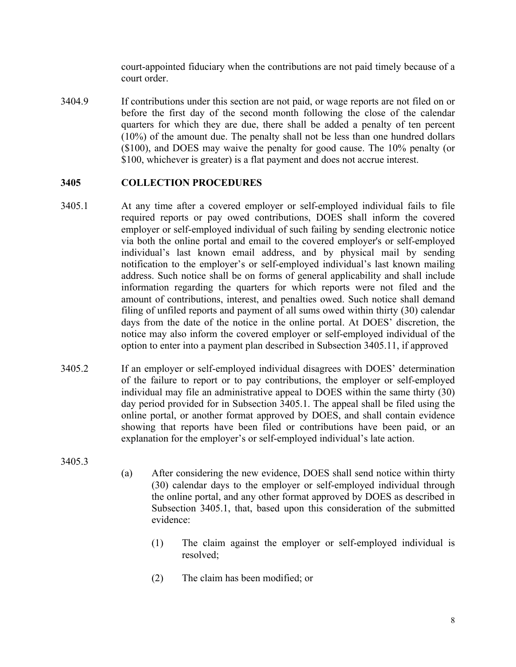court-appointed fiduciary when the contributions are not paid timely because of a court order.

3404.9 If contributions under this section are not paid, or wage reports are not filed on or before the first day of the second month following the close of the calendar quarters for which they are due, there shall be added a penalty of ten percent (10%) of the amount due. The penalty shall not be less than one hundred dollars (\$100), and DOES may waive the penalty for good cause. The 10% penalty (or \$100, whichever is greater) is a flat payment and does not accrue interest.

### **3405 COLLECTION PROCEDURES**

- 3405.1 At any time after a covered employer or self-employed individual fails to file required reports or pay owed contributions, DOES shall inform the covered employer or self-employed individual of such failing by sending electronic notice via both the online portal and email to the covered employer's or self-employed individual's last known email address, and by physical mail by sending notification to the employer's or self-employed individual's last known mailing address. Such notice shall be on forms of general applicability and shall include information regarding the quarters for which reports were not filed and the amount of contributions, interest, and penalties owed. Such notice shall demand filing of unfiled reports and payment of all sums owed within thirty (30) calendar days from the date of the notice in the online portal. At DOES' discretion, the notice may also inform the covered employer or self-employed individual of the option to enter into a payment plan described in Subsection 3405.11, if approved
- 3405.2 If an employer or self-employed individual disagrees with DOES' determination of the failure to report or to pay contributions, the employer or self-employed individual may file an administrative appeal to DOES within the same thirty (30) day period provided for in Subsection 3405.1. The appeal shall be filed using the online portal, or another format approved by DOES, and shall contain evidence showing that reports have been filed or contributions have been paid, or an explanation for the employer's or self-employed individual's late action.

3405.3

- (a) After considering the new evidence, DOES shall send notice within thirty (30) calendar days to the employer or self-employed individual through the online portal, and any other format approved by DOES as described in Subsection 3405.1, that, based upon this consideration of the submitted evidence:
	- (1) The claim against the employer or self-employed individual is resolved;
	- (2) The claim has been modified; or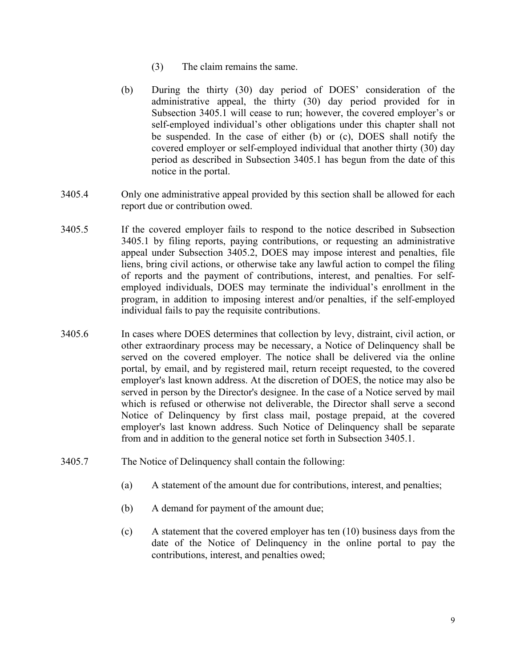- (3) The claim remains the same.
- (b) During the thirty (30) day period of DOES' consideration of the administrative appeal, the thirty (30) day period provided for in Subsection 3405.1 will cease to run; however, the covered employer's or self-employed individual's other obligations under this chapter shall not be suspended. In the case of either (b) or (c), DOES shall notify the covered employer or self-employed individual that another thirty (30) day period as described in Subsection 3405.1 has begun from the date of this notice in the portal.
- 3405.4 Only one administrative appeal provided by this section shall be allowed for each report due or contribution owed.
- 3405.5 If the covered employer fails to respond to the notice described in Subsection 3405.1 by filing reports, paying contributions, or requesting an administrative appeal under Subsection 3405.2, DOES may impose interest and penalties, file liens, bring civil actions, or otherwise take any lawful action to compel the filing of reports and the payment of contributions, interest, and penalties. For selfemployed individuals, DOES may terminate the individual's enrollment in the program, in addition to imposing interest and/or penalties, if the self-employed individual fails to pay the requisite contributions.
- 3405.6 In cases where DOES determines that collection by levy, distraint, civil action, or other extraordinary process may be necessary, a Notice of Delinquency shall be served on the covered employer. The notice shall be delivered via the online portal, by email, and by registered mail, return receipt requested, to the covered employer's last known address. At the discretion of DOES, the notice may also be served in person by the Director's designee. In the case of a Notice served by mail which is refused or otherwise not deliverable, the Director shall serve a second Notice of Delinquency by first class mail, postage prepaid, at the covered employer's last known address. Such Notice of Delinquency shall be separate from and in addition to the general notice set forth in Subsection 3405.1.
- 3405.7 The Notice of Delinquency shall contain the following:
	- (a) A statement of the amount due for contributions, interest, and penalties;
	- (b) A demand for payment of the amount due;
	- (c) A statement that the covered employer has ten (10) business days from the date of the Notice of Delinquency in the online portal to pay the contributions, interest, and penalties owed;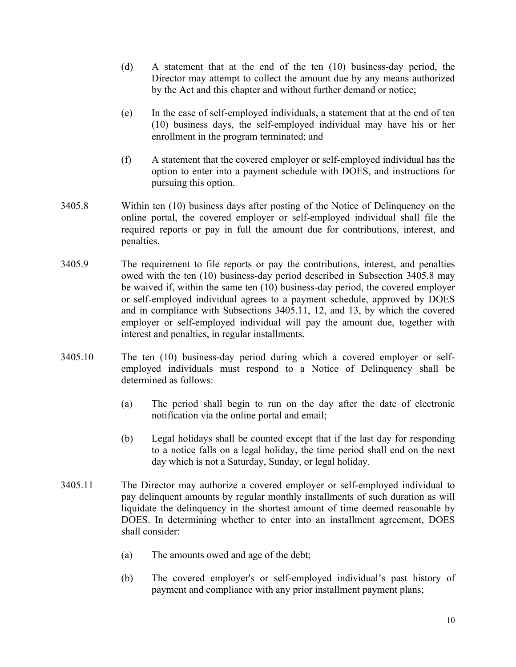- (d) A statement that at the end of the ten (10) business-day period, the Director may attempt to collect the amount due by any means authorized by the Act and this chapter and without further demand or notice;
- (e) In the case of self-employed individuals, a statement that at the end of ten (10) business days, the self-employed individual may have his or her enrollment in the program terminated; and
- (f) A statement that the covered employer or self-employed individual has the option to enter into a payment schedule with DOES, and instructions for pursuing this option.
- 3405.8 Within ten (10) business days after posting of the Notice of Delinquency on the online portal, the covered employer or self-employed individual shall file the required reports or pay in full the amount due for contributions, interest, and penalties.
- 3405.9 The requirement to file reports or pay the contributions, interest, and penalties owed with the ten (10) business-day period described in Subsection 3405.8 may be waived if, within the same ten (10) business-day period, the covered employer or self-employed individual agrees to a payment schedule, approved by DOES and in compliance with Subsections 3405.11, 12, and 13, by which the covered employer or self-employed individual will pay the amount due, together with interest and penalties, in regular installments.
- 3405.10 The ten (10) business-day period during which a covered employer or selfemployed individuals must respond to a Notice of Delinquency shall be determined as follows:
	- (a) The period shall begin to run on the day after the date of electronic notification via the online portal and email;
	- (b) Legal holidays shall be counted except that if the last day for responding to a notice falls on a legal holiday, the time period shall end on the next day which is not a Saturday, Sunday, or legal holiday.
- 3405.11 The Director may authorize a covered employer or self-employed individual to pay delinquent amounts by regular monthly installments of such duration as will liquidate the delinquency in the shortest amount of time deemed reasonable by DOES. In determining whether to enter into an installment agreement, DOES shall consider:
	- (a) The amounts owed and age of the debt;
	- (b) The covered employer's or self-employed individual's past history of payment and compliance with any prior installment payment plans;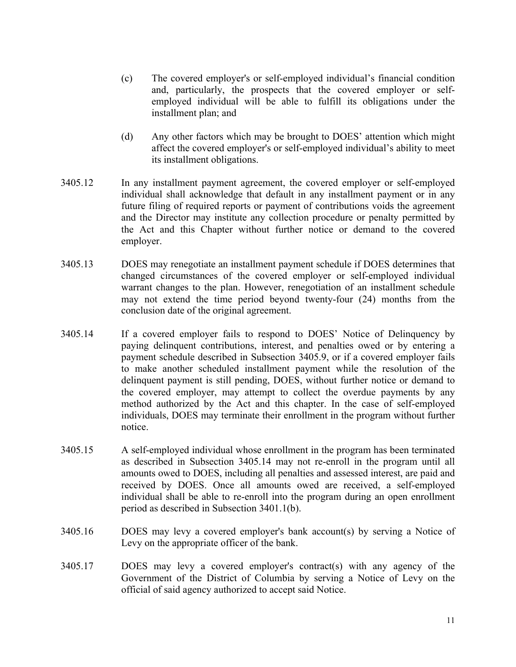- (c) The covered employer's or self-employed individual's financial condition and, particularly, the prospects that the covered employer or selfemployed individual will be able to fulfill its obligations under the installment plan; and
- (d) Any other factors which may be brought to DOES' attention which might affect the covered employer's or self-employed individual's ability to meet its installment obligations.
- 3405.12 In any installment payment agreement, the covered employer or self-employed individual shall acknowledge that default in any installment payment or in any future filing of required reports or payment of contributions voids the agreement and the Director may institute any collection procedure or penalty permitted by the Act and this Chapter without further notice or demand to the covered employer.
- 3405.13 DOES may renegotiate an installment payment schedule if DOES determines that changed circumstances of the covered employer or self-employed individual warrant changes to the plan. However, renegotiation of an installment schedule may not extend the time period beyond twenty-four (24) months from the conclusion date of the original agreement.
- 3405.14 If a covered employer fails to respond to DOES' Notice of Delinquency by paying delinquent contributions, interest, and penalties owed or by entering a payment schedule described in Subsection 3405.9, or if a covered employer fails to make another scheduled installment payment while the resolution of the delinquent payment is still pending, DOES, without further notice or demand to the covered employer, may attempt to collect the overdue payments by any method authorized by the Act and this chapter. In the case of self-employed individuals, DOES may terminate their enrollment in the program without further notice.
- 3405.15 A self-employed individual whose enrollment in the program has been terminated as described in Subsection 3405.14 may not re-enroll in the program until all amounts owed to DOES, including all penalties and assessed interest, are paid and received by DOES. Once all amounts owed are received, a self-employed individual shall be able to re-enroll into the program during an open enrollment period as described in Subsection 3401.1(b).
- 3405.16 DOES may levy a covered employer's bank account(s) by serving a Notice of Levy on the appropriate officer of the bank.
- 3405.17 DOES may levy a covered employer's contract(s) with any agency of the Government of the District of Columbia by serving a Notice of Levy on the official of said agency authorized to accept said Notice.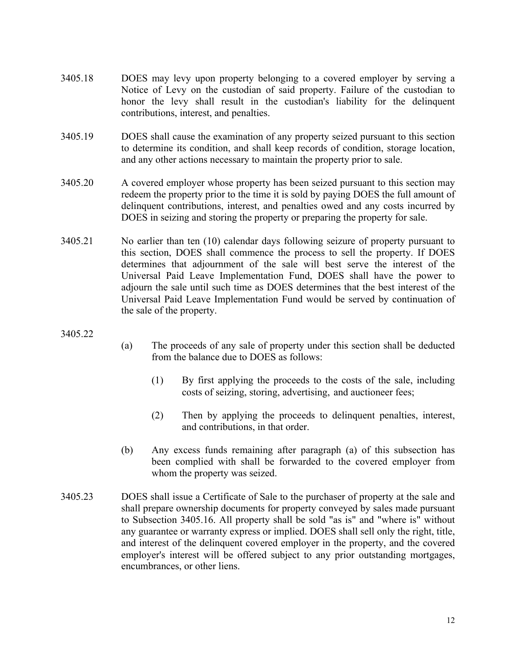- 3405.18 DOES may levy upon property belonging to a covered employer by serving a Notice of Levy on the custodian of said property. Failure of the custodian to honor the levy shall result in the custodian's liability for the delinquent contributions, interest, and penalties.
- 3405.19 DOES shall cause the examination of any property seized pursuant to this section to determine its condition, and shall keep records of condition, storage location, and any other actions necessary to maintain the property prior to sale.
- 3405.20 A covered employer whose property has been seized pursuant to this section may redeem the property prior to the time it is sold by paying DOES the full amount of delinquent contributions, interest, and penalties owed and any costs incurred by DOES in seizing and storing the property or preparing the property for sale.
- 3405.21 No earlier than ten (10) calendar days following seizure of property pursuant to this section, DOES shall commence the process to sell the property. If DOES determines that adjournment of the sale will best serve the interest of the Universal Paid Leave Implementation Fund, DOES shall have the power to adjourn the sale until such time as DOES determines that the best interest of the Universal Paid Leave Implementation Fund would be served by continuation of the sale of the property.

3405.22

- (a) The proceeds of any sale of property under this section shall be deducted from the balance due to DOES as follows:
	- (1) By first applying the proceeds to the costs of the sale, including costs of seizing, storing, advertising, and auctioneer fees;
	- (2) Then by applying the proceeds to delinquent penalties, interest, and contributions, in that order.
- (b) Any excess funds remaining after paragraph (a) of this subsection has been complied with shall be forwarded to the covered employer from whom the property was seized.
- 3405.23 DOES shall issue a Certificate of Sale to the purchaser of property at the sale and shall prepare ownership documents for property conveyed by sales made pursuant to Subsection 3405.16. All property shall be sold "as is" and "where is" without any guarantee or warranty express or implied. DOES shall sell only the right, title, and interest of the delinquent covered employer in the property, and the covered employer's interest will be offered subject to any prior outstanding mortgages, encumbrances, or other liens.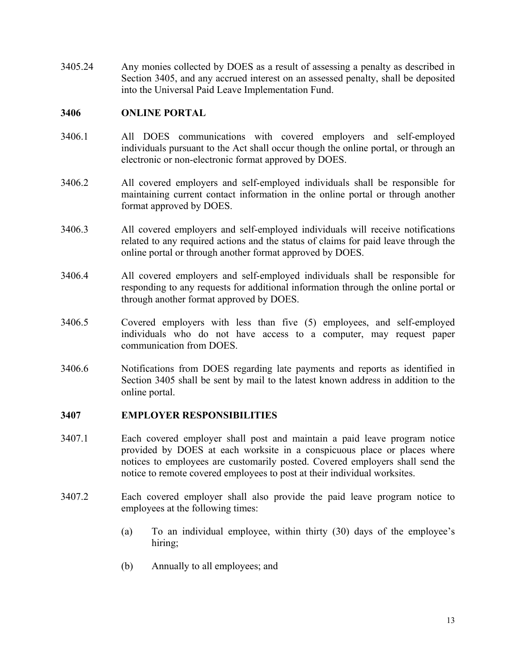3405.24 Any monies collected by DOES as a result of assessing a penalty as described in Section 3405, and any accrued interest on an assessed penalty, shall be deposited into the Universal Paid Leave Implementation Fund.

### **3406 ONLINE PORTAL**

- 3406.1 All DOES communications with covered employers and self-employed individuals pursuant to the Act shall occur though the online portal, or through an electronic or non-electronic format approved by DOES.
- 3406.2 All covered employers and self-employed individuals shall be responsible for maintaining current contact information in the online portal or through another format approved by DOES.
- 3406.3 All covered employers and self-employed individuals will receive notifications related to any required actions and the status of claims for paid leave through the online portal or through another format approved by DOES.
- 3406.4 All covered employers and self-employed individuals shall be responsible for responding to any requests for additional information through the online portal or through another format approved by DOES.
- 3406.5 Covered employers with less than five (5) employees, and self-employed individuals who do not have access to a computer, may request paper communication from DOES.
- 3406.6 Notifications from DOES regarding late payments and reports as identified in Section 3405 shall be sent by mail to the latest known address in addition to the online portal.

### **3407 EMPLOYER RESPONSIBILITIES**

- 3407.1 Each covered employer shall post and maintain a paid leave program notice provided by DOES at each worksite in a conspicuous place or places where notices to employees are customarily posted. Covered employers shall send the notice to remote covered employees to post at their individual worksites.
- 3407.2 Each covered employer shall also provide the paid leave program notice to employees at the following times:
	- (a) To an individual employee, within thirty (30) days of the employee's hiring;
	- (b) Annually to all employees; and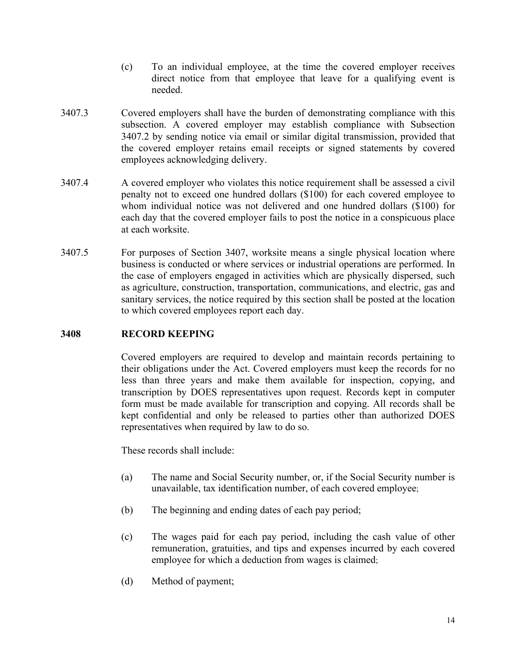- (c) To an individual employee, at the time the covered employer receives direct notice from that employee that leave for a qualifying event is needed.
- 3407.3 Covered employers shall have the burden of demonstrating compliance with this subsection. A covered employer may establish compliance with Subsection 3407.2 by sending notice via email or similar digital transmission, provided that the covered employer retains email receipts or signed statements by covered employees acknowledging delivery.
- 3407.4 A covered employer who violates this notice requirement shall be assessed a civil penalty not to exceed one hundred dollars (\$100) for each covered employee to whom individual notice was not delivered and one hundred dollars (\$100) for each day that the covered employer fails to post the notice in a conspicuous place at each worksite.
- 3407.5 For purposes of Section 3407, worksite means a single physical location where business is conducted or where services or industrial operations are performed. In the case of employers engaged in activities which are physically dispersed, such as agriculture, construction, transportation, communications, and electric, gas and sanitary services, the notice required by this section shall be posted at the location to which covered employees report each day.

### **3408 RECORD KEEPING**

Covered employers are required to develop and maintain records pertaining to their obligations under the Act. Covered employers must keep the records for no less than three years and make them available for inspection, copying, and transcription by DOES representatives upon request. Records kept in computer form must be made available for transcription and copying. All records shall be kept confidential and only be released to parties other than authorized DOES representatives when required by law to do so.

These records shall include:

- (a) The name and Social Security number, or, if the Social Security number is unavailable, tax identification number, of each covered employee;
- (b) The beginning and ending dates of each pay period;
- (c) The wages paid for each pay period, including the cash value of other remuneration, gratuities, and tips and expenses incurred by each covered employee for which a deduction from wages is claimed;
- (d) Method of payment;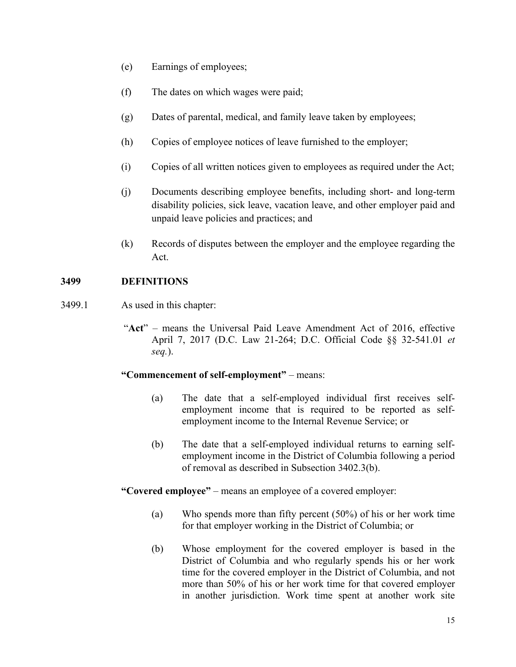- (e) Earnings of employees;
- (f) The dates on which wages were paid;
- (g) Dates of parental, medical, and family leave taken by employees;
- (h) Copies of employee notices of leave furnished to the employer;
- (i) Copies of all written notices given to employees as required under the Act;
- (j) Documents describing employee benefits, including short- and long-term disability policies, sick leave, vacation leave, and other employer paid and unpaid leave policies and practices; and
- (k) Records of disputes between the employer and the employee regarding the Act.

### **3499 DEFINITIONS**

- 3499.1 As used in this chapter:
	- "**Act**" means the Universal Paid Leave Amendment Act of 2016, effective April 7, 2017 (D.C. Law 21-264; D.C. Official Code §§ 32-541.01 *et seq.*).

### **"Commencement of self-employment"** – means:

- (a) The date that a self-employed individual first receives selfemployment income that is required to be reported as selfemployment income to the Internal Revenue Service; or
- (b) The date that a self-employed individual returns to earning selfemployment income in the District of Columbia following a period of removal as described in Subsection 3402.3(b).
- **"Covered employee"** means an employee of a covered employer:
	- (a) Who spends more than fifty percent (50%) of his or her work time for that employer working in the District of Columbia; or
	- (b) Whose employment for the covered employer is based in the District of Columbia and who regularly spends his or her work time for the covered employer in the District of Columbia, and not more than 50% of his or her work time for that covered employer in another jurisdiction. Work time spent at another work site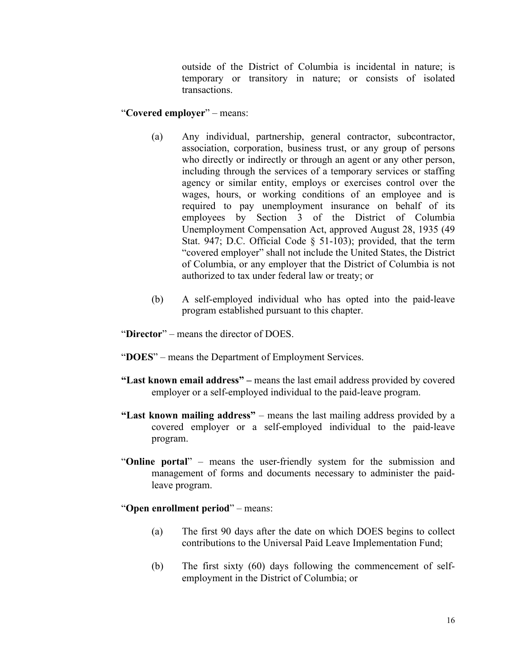outside of the District of Columbia is incidental in nature; is temporary or transitory in nature; or consists of isolated transactions.

#### "**Covered employer**" – means:

- (a) Any individual, partnership, general contractor, subcontractor, association, corporation, business trust, or any group of persons who directly or indirectly or through an agent or any other person, including through the services of a temporary services or staffing agency or similar entity, employs or exercises control over the wages, hours, or working conditions of an employee and is required to pay unemployment insurance on behalf of its employees by Section 3 of the District of Columbia Unemployment Compensation Act, approved August 28, 1935 (49 Stat. 947; D.C. Official Code § 51-103); provided, that the term "covered employer" shall not include the United States, the District of Columbia, or any employer that the District of Columbia is not authorized to tax under federal law or treaty; or
- (b) A self-employed individual who has opted into the paid-leave program established pursuant to this chapter.
- "**Director**" means the director of DOES.
- "**DOES**" means the Department of Employment Services.
- **"Last known email address" –** means the last email address provided by covered employer or a self-employed individual to the paid-leave program.
- **"Last known mailing address"**  means the last mailing address provided by a covered employer or a self-employed individual to the paid-leave program.
- "**Online portal**" means the user-friendly system for the submission and management of forms and documents necessary to administer the paidleave program.

#### "**Open enrollment period**" – means:

- (a) The first 90 days after the date on which DOES begins to collect contributions to the Universal Paid Leave Implementation Fund;
- (b) The first sixty (60) days following the commencement of selfemployment in the District of Columbia; or